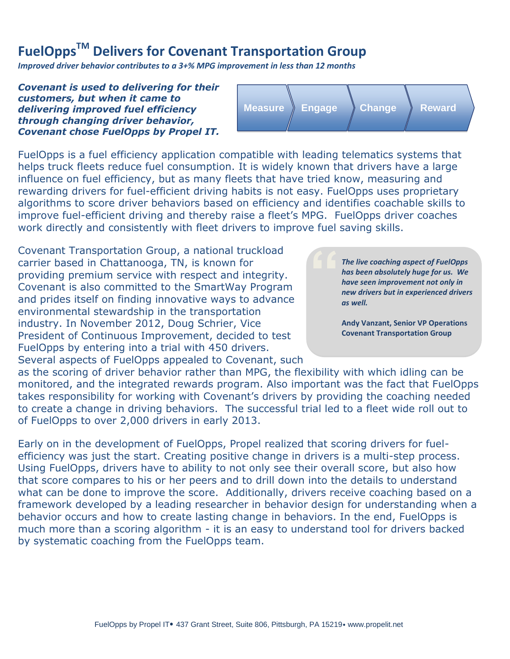## **FuelOppsTM Delivers for Covenant Transportation Group**

*Improved driver behavior contributes to a 3+% MPG improvement in less than 12 months*

*Covenant is used to delivering for their customers, but when it came to delivering improved fuel efficiency through changing driver behavior, Covenant chose FuelOpps by Propel IT.*



**"**

FuelOpps is a fuel efficiency application compatible with leading telematics systems that helps truck fleets reduce fuel consumption. It is widely known that drivers have a large influence on fuel efficiency, but as many fleets that have tried know, measuring and rewarding drivers for fuel-efficient driving habits is not easy. FuelOpps uses proprietary algorithms to score driver behaviors based on efficiency and identifies coachable skills to improve fuel-efficient driving and thereby raise a fleet's MPG. FuelOpps driver coaches work directly and consistently with fleet drivers to improve fuel saving skills.

Covenant Transportation Group, a national truckload carrier based in Chattanooga, TN, is known for providing premium service with respect and integrity. Covenant is also committed to the SmartWay Program and prides itself on finding innovative ways to advance environmental stewardship in the transportation industry. In November 2012, Doug Schrier, Vice President of Continuous Improvement, decided to test FuelOpps by entering into a trial with 450 drivers. Several aspects of FuelOpps appealed to Covenant, such

*The live coaching aspect of FuelOpps has been absolutely huge for us. We have seen improvement not only in new drivers but in experienced drivers as well.* 

**Andy Vanzant, Senior VP Operations Covenant Transportation Group**

as the scoring of driver behavior rather than MPG, the flexibility with which idling can be monitored, and the integrated rewards program. Also important was the fact that FuelOpps takes responsibility for working with Covenant's drivers by providing the coaching needed to create a change in driving behaviors. The successful trial led to a fleet wide roll out to of FuelOpps to over 2,000 drivers in early 2013.

Early on in the development of FuelOpps, Propel realized that scoring drivers for fuelefficiency was just the start. Creating positive change in drivers is a multi-step process. Using FuelOpps, drivers have to ability to not only see their overall score, but also how that score compares to his or her peers and to drill down into the details to understand what can be done to improve the score. Additionally, drivers receive coaching based on a framework developed by a leading researcher in behavior design for understanding when a behavior occurs and how to create lasting change in behaviors. In the end, FuelOpps is much more than a scoring algorithm - it is an easy to understand tool for drivers backed by systematic coaching from the FuelOpps team.